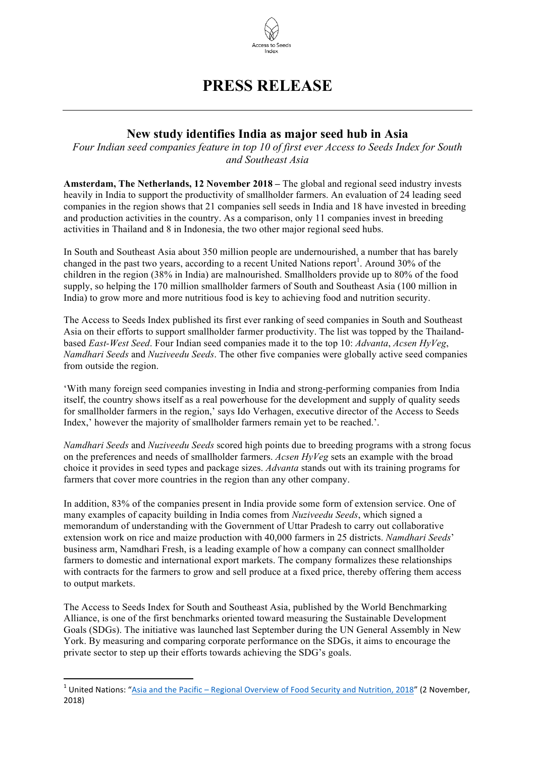

## **PRESS RELEASE**

## **New study identifies India as major seed hub in Asia**

*Four Indian seed companies feature in top 10 of first ever Access to Seeds Index for South and Southeast Asia*

**Amsterdam, The Netherlands, 12 November 2018 –** The global and regional seed industry invests heavily in India to support the productivity of smallholder farmers. An evaluation of 24 leading seed companies in the region shows that 21 companies sell seeds in India and 18 have invested in breeding and production activities in the country. As a comparison, only 11 companies invest in breeding activities in Thailand and 8 in Indonesia, the two other major regional seed hubs.

In South and Southeast Asia about 350 million people are undernourished, a number that has barely changed in the past two years, according to a recent United Nations report<sup>1</sup>. Around 30% of the children in the region (38% in India) are malnourished. Smallholders provide up to 80% of the food supply, so helping the 170 million smallholder farmers of South and Southeast Asia (100 million in India) to grow more and more nutritious food is key to achieving food and nutrition security.

The Access to Seeds Index published its first ever ranking of seed companies in South and Southeast Asia on their efforts to support smallholder farmer productivity. The list was topped by the Thailandbased *East-West Seed*. Four Indian seed companies made it to the top 10: *Advanta*, *Acsen HyVeg*, *Namdhari Seeds* and *Nuziveedu Seeds*. The other five companies were globally active seed companies from outside the region.

'With many foreign seed companies investing in India and strong-performing companies from India itself, the country shows itself as a real powerhouse for the development and supply of quality seeds for smallholder farmers in the region,' says Ido Verhagen, executive director of the Access to Seeds Index,' however the majority of smallholder farmers remain yet to be reached.'.

*Namdhari Seeds* and *Nuziveedu Seeds* scored high points due to breeding programs with a strong focus on the preferences and needs of smallholder farmers. *Acsen HyVeg* sets an example with the broad choice it provides in seed types and package sizes. *Advanta* stands out with its training programs for farmers that cover more countries in the region than any other company.

In addition, 83% of the companies present in India provide some form of extension service. One of many examples of capacity building in India comes from *Nuziveedu Seeds*, which signed a memorandum of understanding with the Government of Uttar Pradesh to carry out collaborative extension work on rice and maize production with 40,000 farmers in 25 districts. *Namdhari Seeds*' business arm, Namdhari Fresh, is a leading example of how a company can connect smallholder farmers to domestic and international export markets. The company formalizes these relationships with contracts for the farmers to grow and sell produce at a fixed price, thereby offering them access to output markets.

The Access to Seeds Index for South and Southeast Asia, published by the World Benchmarking Alliance, is one of the first benchmarks oriented toward measuring the Sustainable Development Goals (SDGs). The initiative was launched last September during the UN General Assembly in New York. By measuring and comparing corporate performance on the SDGs, it aims to encourage the private sector to step up their efforts towards achieving the SDG's goals.

<sup>&</sup>lt;sup>1</sup> United Nations: "Asia and the Pacific – Regional Overview of Food Security and Nutrition, 2018" (2 November, 2018)